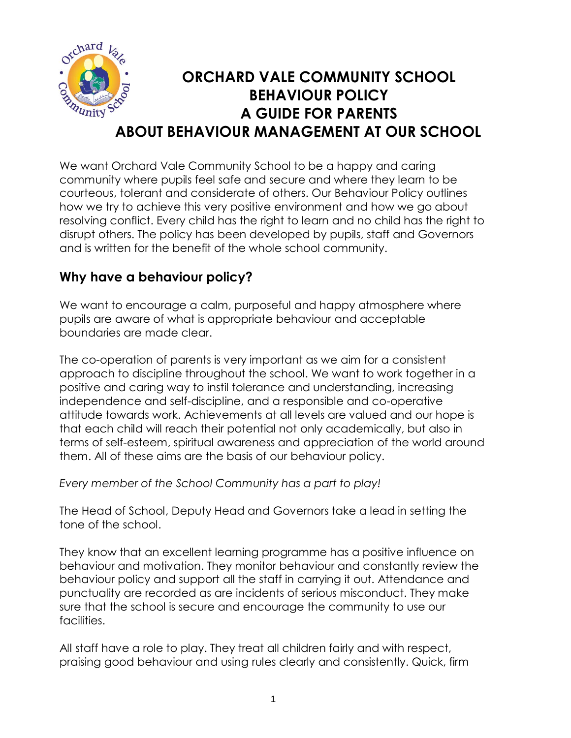

### **ORCHARD VALE COMMUNITY SCHOOL BEHAVIOUR POLICY A GUIDE FOR PARENTS ABOUT BEHAVIOUR MANAGEMENT AT OUR SCHOOL**

We want Orchard Vale Community School to be a happy and caring community where pupils feel safe and secure and where they learn to be courteous, tolerant and considerate of others. Our Behaviour Policy outlines how we try to achieve this very positive environment and how we go about resolving conflict. Every child has the right to learn and no child has the right to disrupt others. The policy has been developed by pupils, staff and Governors and is written for the benefit of the whole school community.

#### **Why have a behaviour policy?**

We want to encourage a calm, purposeful and happy atmosphere where pupils are aware of what is appropriate behaviour and acceptable boundaries are made clear.

The co-operation of parents is very important as we aim for a consistent approach to discipline throughout the school. We want to work together in a positive and caring way to instil tolerance and understanding, increasing independence and self-discipline, and a responsible and co-operative attitude towards work. Achievements at all levels are valued and our hope is that each child will reach their potential not only academically, but also in terms of self-esteem, spiritual awareness and appreciation of the world around them. All of these aims are the basis of our behaviour policy.

*Every member of the School Community has a part to play!*

The Head of School, Deputy Head and Governors take a lead in setting the tone of the school.

They know that an excellent learning programme has a positive influence on behaviour and motivation. They monitor behaviour and constantly review the behaviour policy and support all the staff in carrying it out. Attendance and punctuality are recorded as are incidents of serious misconduct. They make sure that the school is secure and encourage the community to use our facilities.

All staff have a role to play. They treat all children fairly and with respect, praising good behaviour and using rules clearly and consistently. Quick, firm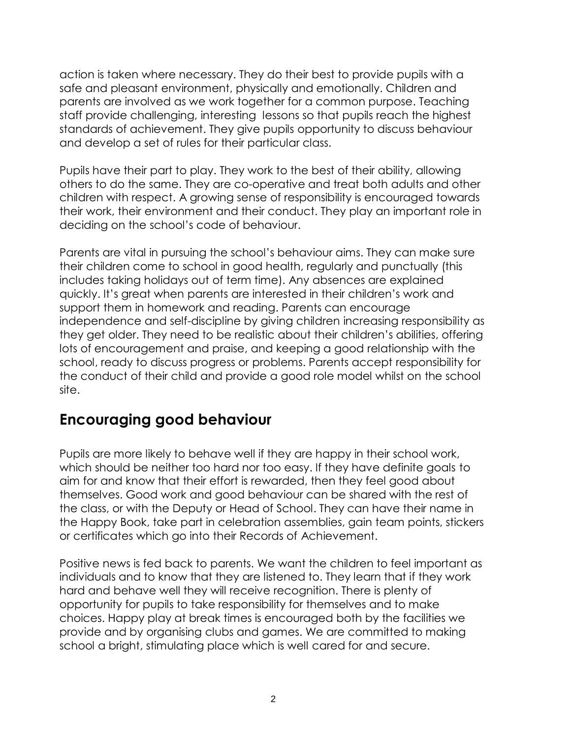action is taken where necessary. They do their best to provide pupils with a safe and pleasant environment, physically and emotionally. Children and parents are involved as we work together for a common purpose. Teaching staff provide challenging, interesting lessons so that pupils reach the highest standards of achievement. They give pupils opportunity to discuss behaviour and develop a set of rules for their particular class.

Pupils have their part to play. They work to the best of their ability, allowing others to do the same. They are co-operative and treat both adults and other children with respect. A growing sense of responsibility is encouraged towards their work, their environment and their conduct. They play an important role in deciding on the school's code of behaviour.

Parents are vital in pursuing the school's behaviour aims. They can make sure their children come to school in good health, regularly and punctually (this includes taking holidays out of term time). Any absences are explained quickly. It's great when parents are interested in their children's work and support them in homework and reading. Parents can encourage independence and self-discipline by giving children increasing responsibility as they get older. They need to be realistic about their children's abilities, offering lots of encouragement and praise, and keeping a good relationship with the school, ready to discuss progress or problems. Parents accept responsibility for the conduct of their child and provide a good role model whilst on the school site.

#### **Encouraging good behaviour**

Pupils are more likely to behave well if they are happy in their school work, which should be neither too hard nor too easy. If they have definite goals to aim for and know that their effort is rewarded, then they feel good about themselves. Good work and good behaviour can be shared with the rest of the class, or with the Deputy or Head of School. They can have their name in the Happy Book, take part in celebration assemblies, gain team points, stickers or certificates which go into their Records of Achievement.

Positive news is fed back to parents. We want the children to feel important as individuals and to know that they are listened to. They learn that if they work hard and behave well they will receive recognition. There is plenty of opportunity for pupils to take responsibility for themselves and to make choices. Happy play at break times is encouraged both by the facilities we provide and by organising clubs and games. We are committed to making school a bright, stimulating place which is well cared for and secure.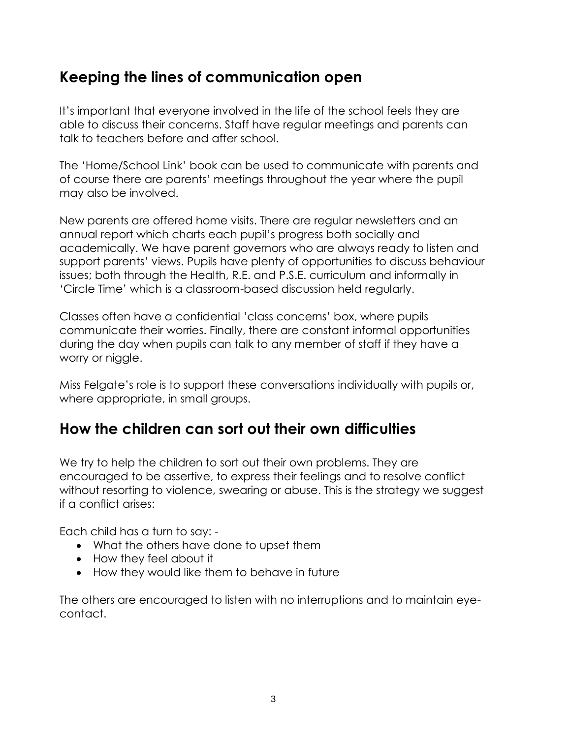### **Keeping the lines of communication open**

It's important that everyone involved in the life of the school feels they are able to discuss their concerns. Staff have regular meetings and parents can talk to teachers before and after school.

The 'Home/School Link' book can be used to communicate with parents and of course there are parents' meetings throughout the year where the pupil may also be involved.

New parents are offered home visits. There are regular newsletters and an annual report which charts each pupil's progress both socially and academically. We have parent governors who are always ready to listen and support parents' views. Pupils have plenty of opportunities to discuss behaviour issues; both through the Health, R.E. and P.S.E. curriculum and informally in 'Circle Time' which is a classroom-based discussion held regularly.

Classes often have a confidential 'class concerns' box, where pupils communicate their worries. Finally, there are constant informal opportunities during the day when pupils can talk to any member of staff if they have a worry or niggle.

Miss Felgate's role is to support these conversations individually with pupils or, where appropriate, in small groups.

#### **How the children can sort out their own difficulties**

We try to help the children to sort out their own problems. They are encouraged to be assertive, to express their feelings and to resolve conflict without resorting to violence, swearing or abuse. This is the strategy we suggest if a conflict arises:

Each child has a turn to say: -

- What the others have done to upset them
- How they feel about it
- How they would like them to behave in future

The others are encouraged to listen with no interruptions and to maintain eyecontact.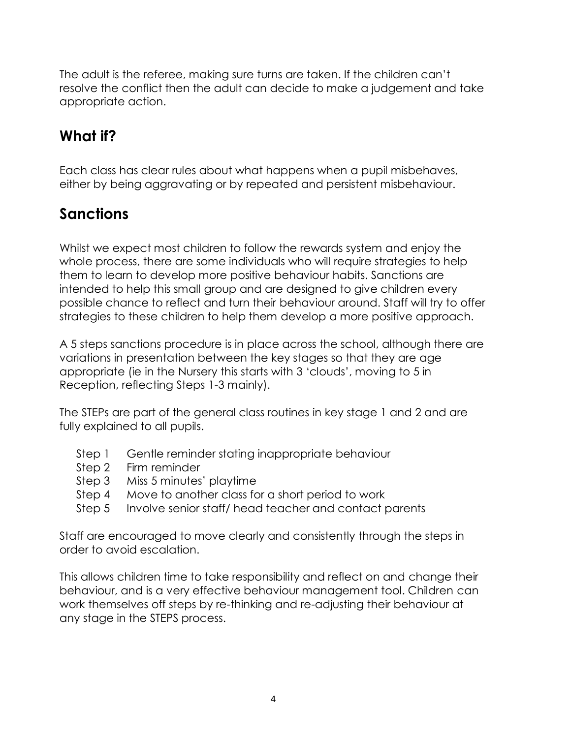The adult is the referee, making sure turns are taken. If the children can't resolve the conflict then the adult can decide to make a judgement and take appropriate action.

# **What if?**

Each class has clear rules about what happens when a pupil misbehaves, either by being aggravating or by repeated and persistent misbehaviour.

# **Sanctions**

Whilst we expect most children to follow the rewards system and enjoy the whole process, there are some individuals who will require strategies to help them to learn to develop more positive behaviour habits. Sanctions are intended to help this small group and are designed to give children every possible chance to reflect and turn their behaviour around. Staff will try to offer strategies to these children to help them develop a more positive approach.

A 5 steps sanctions procedure is in place across the school, although there are variations in presentation between the key stages so that they are age appropriate (ie in the Nursery this starts with 3 'clouds', moving to 5 in Reception, reflecting Steps 1-3 mainly).

The STEPs are part of the general class routines in key stage 1 and 2 and are fully explained to all pupils.

- Step 1 Gentle reminder stating inappropriate behaviour
- Step 2 Firm reminder
- Step 3 Miss 5 minutes' playtime
- Step 4 Move to another class for a short period to work
- Step 5 Involve senior staff/ head teacher and contact parents

Staff are encouraged to move clearly and consistently through the steps in order to avoid escalation.

This allows children time to take responsibility and reflect on and change their behaviour, and is a very effective behaviour management tool. Children can work themselves off steps by re-thinking and re-adjusting their behaviour at any stage in the STEPS process.